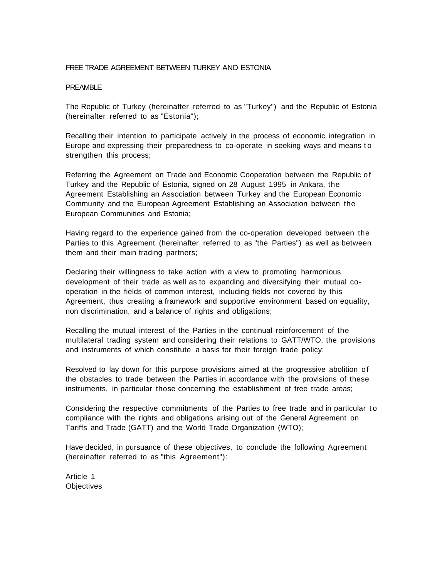### FREE TRADE AGREEMENT BETWEEN TURKEY AND ESTONIA

#### PREAMBLE

The Republic of Turkey (hereinafter referred to as "Turkey") and the Republic of Estonia (hereinafter referred to as "Estonia");

Recalling their intention to participate actively in the process of economic integration in Europe and expressing their preparedness to co-operate in seeking ways and means t o strengthen this process;

Referring the Agreement on Trade and Economic Cooperation between the Republic of Turkey and the Republic of Estonia, signed on 28 August 1995 in Ankara, the Agreement Establishing an Association between Turkey and the European Economic Community and the European Agreement Establishing an Association between the European Communities and Estonia;

Having regard to the experience gained from the co-operation developed between the Parties to this Agreement (hereinafter referred to as "the Parties") as well as between them and their main trading partners;

Declaring their willingness to take action with a view to promoting harmonious development of their trade as well as to expanding and diversifying their mutual cooperation in the fields of common interest, including fields not covered by this Agreement, thus creating a framework and supportive environment based on equality, non discrimination, and a balance of rights and obligations;

Recalling the mutual interest of the Parties in the continual reinforcement of the multilateral trading system and considering their relations to GATT/WTO, the provisions and instruments of which constitute a basis for their foreign trade policy;

Resolved to lay down for this purpose provisions aimed at the progressive abolition of the obstacles to trade between the Parties in accordance with the provisions of these instruments, in particular those concerning the establishment of free trade areas;

Considering the respective commitments of the Parties to free trade and in particular to compliance with the rights and obligations arising out of the General Agreement on Tariffs and Trade (GATT) and the World Trade Organization (WTO);

Have decided, in pursuance of these objectives, to conclude the following Agreement (hereinafter referred to as "this Agreement"):

Article 1 **Objectives**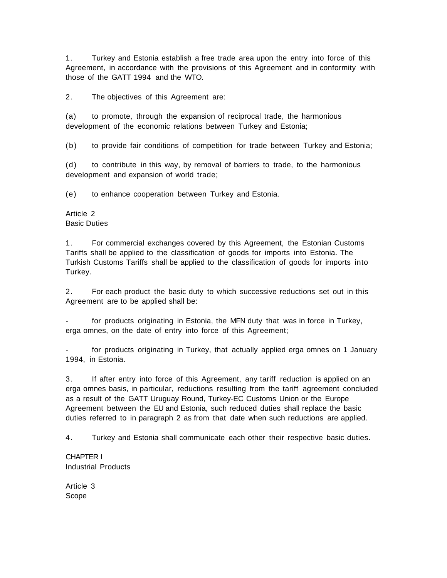1. Turkey and Estonia establish a free trade area upon the entry into force of this Agreement, in accordance with the provisions of this Agreement and in conformity with those of the GATT 1994 and the WTO.

2. The objectives of this Agreement are:

(a) to promote, through the expansion of reciprocal trade, the harmonious development of the economic relations between Turkey and Estonia;

(b) to provide fair conditions of competition for trade between Turkey and Estonia;

(d) to contribute in this way, by removal of barriers to trade, to the harmonious development and expansion of world trade;

(e) to enhance cooperation between Turkey and Estonia.

Article 2 Basic Duties

1. For commercial exchanges covered by this Agreement, the Estonian Customs Tariffs shall be applied to the classification of goods for imports into Estonia. The Turkish Customs Tariffs shall be applied to the classification of goods for imports into Turkey.

2. For each product the basic duty to which successive reductions set out in this Agreement are to be applied shall be:

for products originating in Estonia, the MFN duty that was in force in Turkey, erga omnes, on the date of entry into force of this Agreement;

for products originating in Turkey, that actually applied erga omnes on 1 January 1994, in Estonia.

3. If after entry into force of this Agreement, any tariff reduction is applied on an erga omnes basis, in particular, reductions resulting from the tariff agreement concluded as a result of the GATT Uruguay Round, Turkey-EC Customs Union or the Europe Agreement between the EU and Estonia, such reduced duties shall replace the basic duties referred to in paragraph 2 as from that date when such reductions are applied.

4. Turkey and Estonia shall communicate each other their respective basic duties.

CHAPTER I Industrial Products

Article 3 Scope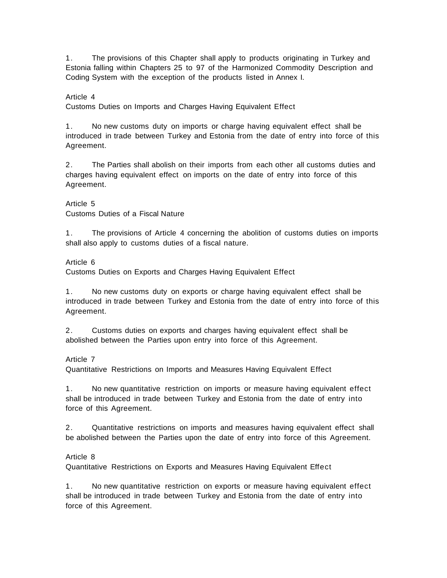1. The provisions of this Chapter shall apply to products originating in Turkey and Estonia falling within Chapters 25 to 97 of the Harmonized Commodity Description and Coding System with the exception of the products listed in Annex I.

# Article 4

Customs Duties on Imports and Charges Having Equivalent Effect

1. No new customs duty on imports or charge having equivalent effect shall be introduced in trade between Turkey and Estonia from the date of entry into force of this Agreement.

2. The Parties shall abolish on their imports from each other all customs duties and charges having equivalent effect on imports on the date of entry into force of this Agreement.

## Article 5

Customs Duties of a Fiscal Nature

1. The provisions of Article 4 concerning the abolition of customs duties on imports shall also apply to customs duties of a fiscal nature.

## Article 6

Customs Duties on Exports and Charges Having Equivalent Effect

1. No new customs duty on exports or charge having equivalent effect shall be introduced in trade between Turkey and Estonia from the date of entry into force of this Agreement.

2. Customs duties on exports and charges having equivalent effect shall be abolished between the Parties upon entry into force of this Agreement.

#### Article 7

Quantitative Restrictions on Imports and Measures Having Equivalent Effect

1. No new quantitative restriction on imports or measure having equivalent effect shall be introduced in trade between Turkey and Estonia from the date of entry into force of this Agreement.

2. Quantitative restrictions on imports and measures having equivalent effect shall be abolished between the Parties upon the date of entry into force of this Agreement.

# Article 8

Quantitative Restrictions on Exports and Measures Having Equivalent Effect

1. No new quantitative restriction on exports or measure having equivalent effect shall be introduced in trade between Turkey and Estonia from the date of entry into force of this Agreement.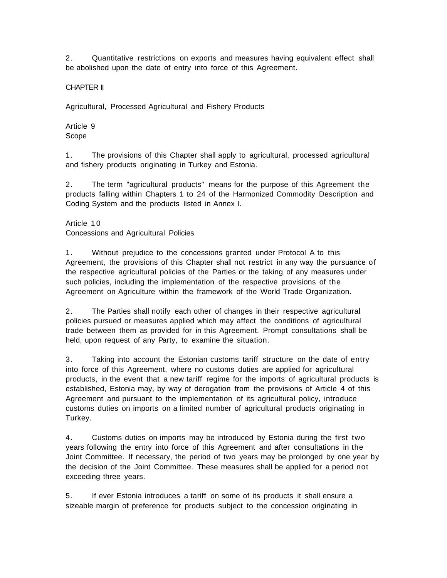2. Quantitative restrictions on exports and measures having equivalent effect shall be abolished upon the date of entry into force of this Agreement.

CHAPTER II

Agricultural, Processed Agricultural and Fishery Products

Article 9 Scope

1. The provisions of this Chapter shall apply to agricultural, processed agricultural and fishery products originating in Turkey and Estonia.

2. The term "agricultural products" means for the purpose of this Agreement the products falling within Chapters 1 to 24 of the Harmonized Commodity Description and Coding System and the products listed in Annex I.

Article 1 0 Concessions and Agricultural Policies

1. Without prejudice to the concessions granted under Protocol A to this Agreement, the provisions of this Chapter shall not restrict in any way the pursuance of the respective agricultural policies of the Parties or the taking of any measures under such policies, including the implementation of the respective provisions of the Agreement on Agriculture within the framework of the World Trade Organization.

2. The Parties shall notify each other of changes in their respective agricultural policies pursued or measures applied which may affect the conditions of agricultural trade between them as provided for in this Agreement. Prompt consultations shall be held, upon request of any Party, to examine the situation.

3. Taking into account the Estonian customs tariff structure on the date of entry into force of this Agreement, where no customs duties are applied for agricultural products, in the event that a new tariff regime for the imports of agricultural products is established, Estonia may, by way of derogation from the provisions of Article 4 of this Agreement and pursuant to the implementation of its agricultural policy, introduce customs duties on imports on a limited number of agricultural products originating in Turkey.

4. Customs duties on imports may be introduced by Estonia during the first two years following the entry into force of this Agreement and after consultations in the Joint Committee. If necessary, the period of two years may be prolonged by one year by the decision of the Joint Committee. These measures shall be applied for a period not exceeding three years.

5. If ever Estonia introduces a tariff on some of its products it shall ensure a sizeable margin of preference for products subject to the concession originating in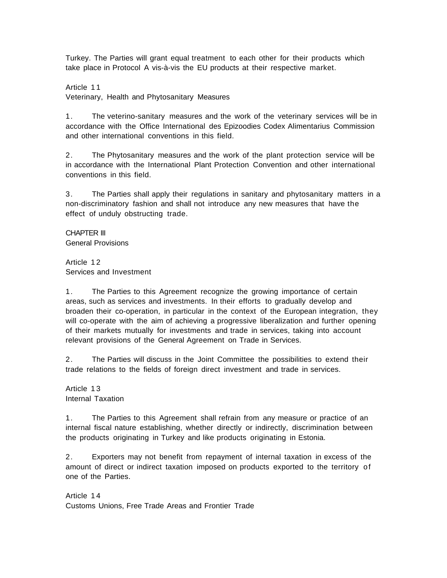Turkey. The Parties will grant equal treatment to each other for their products which take place in Protocol A vis-à-vis the EU products at their respective market.

Article 1 1 Veterinary, Health and Phytosanitary Measures

1. The veterino-sanitary measures and the work of the veterinary services will be in accordance with the Office International des Epizoodies Codex Alimentarius Commission and other international conventions in this field.

2. The Phytosanitary measures and the work of the plant protection service will be in accordance with the International Plant Protection Convention and other international conventions in this field.

3. The Parties shall apply their regulations in sanitary and phytosanitary matters in a non-discriminatory fashion and shall not introduce any new measures that have the effect of unduly obstructing trade.

CHAPTER III General Provisions

Article 1 2 Services and Investment

1. The Parties to this Agreement recognize the growing importance of certain areas, such as services and investments. In their efforts to gradually develop and broaden their co-operation, in particular in the context of the European integration, they will co-operate with the aim of achieving a progressive liberalization and further opening of their markets mutually for investments and trade in services, taking into account relevant provisions of the General Agreement on Trade in Services.

2. The Parties will discuss in the Joint Committee the possibilities to extend their trade relations to the fields of foreign direct investment and trade in services.

Article 1 3 Internal Taxation

1. The Parties to this Agreement shall refrain from any measure or practice of an internal fiscal nature establishing, whether directly or indirectly, discrimination between the products originating in Turkey and like products originating in Estonia.

2. Exporters may not benefit from repayment of internal taxation in excess of the amount of direct or indirect taxation imposed on products exported to the territory of one of the Parties.

Article 1 4 Customs Unions, Free Trade Areas and Frontier Trade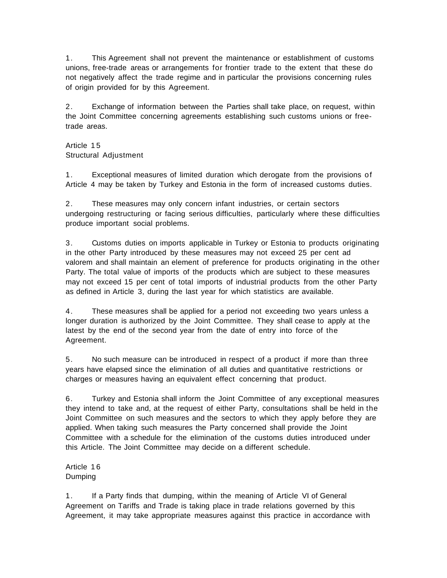1. This Agreement shall not prevent the maintenance or establishment of customs unions, free-trade areas or arrangements for frontier trade to the extent that these do not negatively affect the trade regime and in particular the provisions concerning rules of origin provided for by this Agreement.

2. Exchange of information between the Parties shall take place, on request, within the Joint Committee concerning agreements establishing such customs unions or freetrade areas.

Article 1 5 Structural Adjustment

1. Exceptional measures of limited duration which derogate from the provisions of Article 4 may be taken by Turkey and Estonia in the form of increased customs duties.

2. These measures may only concern infant industries, or certain sectors undergoing restructuring or facing serious difficulties, particularly where these difficulties produce important social problems.

3. Customs duties on imports applicable in Turkey or Estonia to products originating in the other Party introduced by these measures may not exceed 25 per cent ad valorem and shall maintain an element of preference for products originating in the other Party. The total value of imports of the products which are subject to these measures may not exceed 15 per cent of total imports of industrial products from the other Party as defined in Article 3, during the last year for which statistics are available.

4. These measures shall be applied for a period not exceeding two years unless a longer duration is authorized by the Joint Committee. They shall cease to apply at the latest by the end of the second year from the date of entry into force of the Agreement.

5. No such measure can be introduced in respect of a product if more than three years have elapsed since the elimination of all duties and quantitative restrictions or charges or measures having an equivalent effect concerning that product.

6. Turkey and Estonia shall inform the Joint Committee of any exceptional measures they intend to take and, at the request of either Party, consultations shall be held in the Joint Committee on such measures and the sectors to which they apply before they are applied. When taking such measures the Party concerned shall provide the Joint Committee with a schedule for the elimination of the customs duties introduced under this Article. The Joint Committee may decide on a different schedule.

Article 1 6 Dumping

1. If a Party finds that dumping, within the meaning of Article VI of General Agreement on Tariffs and Trade is taking place in trade relations governed by this Agreement, it may take appropriate measures against this practice in accordance with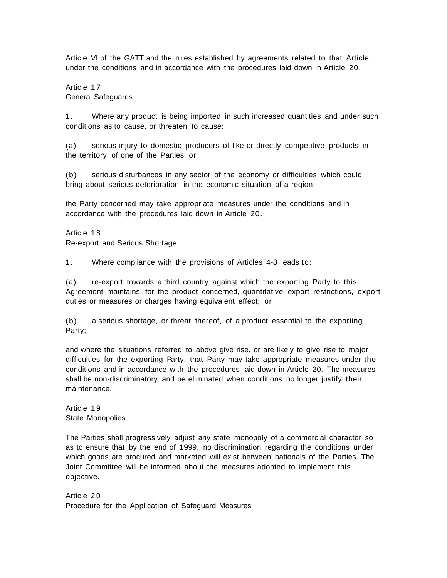Article VI of the GATT and the rules established by agreements related to that Article, under the conditions and in accordance with the procedures laid down in Article 20.

Article 1 7 General Safeguards

1. Where any product is being imported in such increased quantities and under such conditions as to cause, or threaten to cause:

(a) serious injury to domestic producers of like or directly competitive products in the territory of one of the Parties, or

(b) serious disturbances in any sector of the economy or difficulties which could bring about serious deterioration in the economic situation of a region,

the Party concerned may take appropriate measures under the conditions and in accordance with the procedures laid down in Article 20.

Article 1 8 Re-export and Serious Shortage

1. Where compliance with the provisions of Articles 4-8 leads to:

(a) re-export towards a third country against which the exporting Party to this Agreement maintains, for the product concerned, quantitative export restrictions, export duties or measures or charges having equivalent effect; or

(b) a serious shortage, or threat thereof, of a product essential to the exporting Party;

and where the situations referred to above give rise, or are likely to give rise to major difficulties for the exporting Party, that Party may take appropriate measures under the conditions and in accordance with the procedures laid down in Article 20. The measures shall be non-discriminatory and be eliminated when conditions no longer justify their maintenance.

Article 1 9 State Monopolies

The Parties shall progressively adjust any state monopoly of a commercial character so as to ensure that by the end of 1999, no discrimination regarding the conditions under which goods are procured and marketed will exist between nationals of the Parties. The Joint Committee will be informed about the measures adopted to implement this objective.

Article 2 0 Procedure for the Application of Safeguard Measures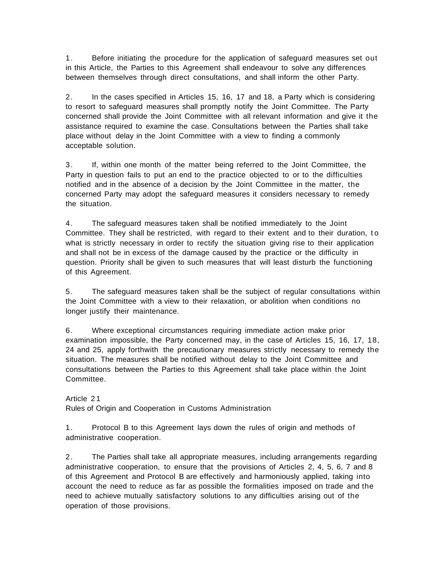1. Before initiating the procedure for the application of safeguard measures set out in this Article, the Parties to this Agreement shall endeavour to solve any differences between themselves through direct consultations, and shall inform the other Party.

2. In the cases specified in Articles 15, 16, 17 and 18, a Party which is considering to resort to safeguard measures shall promptly notify the Joint Committee. The Party concerned shall provide the Joint Committee with all relevant information and give it the assistance required to examine the case. Consultations between the Parties shall take place without delay in the Joint Committee with a view to finding a commonly acceptable solution.

3. If, within one month of the matter being referred to the Joint Committee, the Party in question fails to put an end to the practice objected to or to the difficulties notified and in the absence of a decision by the Joint Committee in the matter, the concerned Party may adopt the safeguard measures it considers necessary to remedy the situation.

4. The safeguard measures taken shall be notified immediately to the Joint Committee. They shall be restricted, with regard to their extent and to their duration, to what is strictly necessary in order to rectify the situation giving rise to their application and shall not be in excess of the damage caused by the practice or the difficulty in question. Priority shall be given to such measures that will least disturb the functioning of this Agreement.

5. The safeguard measures taken shall be the subject of regular consultations within the Joint Committee with a view to their relaxation, or abolition when conditions no longer justify their maintenance.

6. Where exceptional circumstances requiring immediate action make prior examination impossible, the Party concerned may, in the case of Articles 15, 16, 17, 18, 24 and 25, apply forthwith the precautionary measures strictly necessary to remedy the situation. The measures shall be notified without delay to the Joint Committee and consultations between the Parties to this Agreement shall take place within the Joint Committee.

Article 2 1 Rules of Origin and Cooperation in Customs Administration

1. Protocol B to this Agreement lays down the rules of origin and methods of administrative cooperation.

2. The Parties shall take all appropriate measures, including arrangements regarding administrative cooperation, to ensure that the provisions of Articles 2, 4, 5, 6, 7 and 8 of this Agreement and Protocol B are effectively and harmoniously applied, taking into account the need to reduce as far as possible the formalities imposed on trade and the need to achieve mutually satisfactory solutions to any difficulties arising out of the operation of those provisions.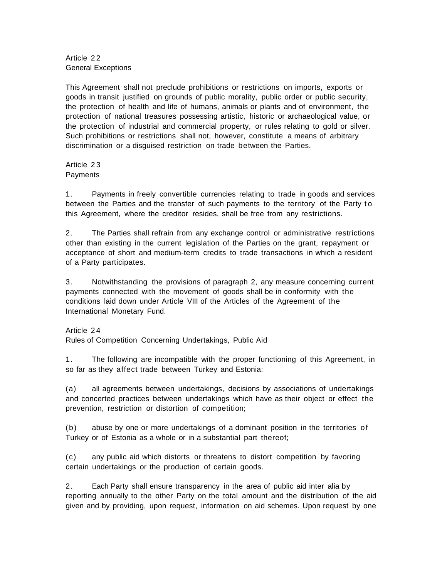Article 22 General Exceptions

This Agreement shall not preclude prohibitions or restrictions on imports, exports or goods in transit justified on grounds of public morality, public order or public security, the protection of health and life of humans, animals or plants and of environment, the protection of national treasures possessing artistic, historic or archaeological value, or the protection of industrial and commercial property, or rules relating to gold or silver. Such prohibitions or restrictions shall not, however, constitute a means of arbitrary discrimination or a disguised restriction on trade between the Parties.

Article 2 3 **Payments** 

1. Payments in freely convertible currencies relating to trade in goods and services between the Parties and the transfer of such payments to the territory of the Party t o this Agreement, where the creditor resides, shall be free from any restrictions.

2. The Parties shall refrain from any exchange control or administrative restrictions other than existing in the current legislation of the Parties on the grant, repayment or acceptance of short and medium-term credits to trade transactions in which a resident of a Party participates.

3. Notwithstanding the provisions of paragraph 2, any measure concerning current payments connected with the movement of goods shall be in conformity with the conditions laid down under Article VIII of the Articles of the Agreement of the International Monetary Fund.

Article 2 4 Rules of Competition Concerning Undertakings, Public Aid

1. The following are incompatible with the proper functioning of this Agreement, in so far as they affect trade between Turkey and Estonia:

(a) all agreements between undertakings, decisions by associations of undertakings and concerted practices between undertakings which have as their object or effect the prevention, restriction or distortion of competition;

(b) abuse by one or more undertakings of a dominant position in the territories of Turkey or of Estonia as a whole or in a substantial part thereof;

(c) any public aid which distorts or threatens to distort competition by favoring certain undertakings or the production of certain goods.

2. Each Party shall ensure transparency in the area of public aid inter alia by reporting annually to the other Party on the total amount and the distribution of the aid given and by providing, upon request, information on aid schemes. Upon request by one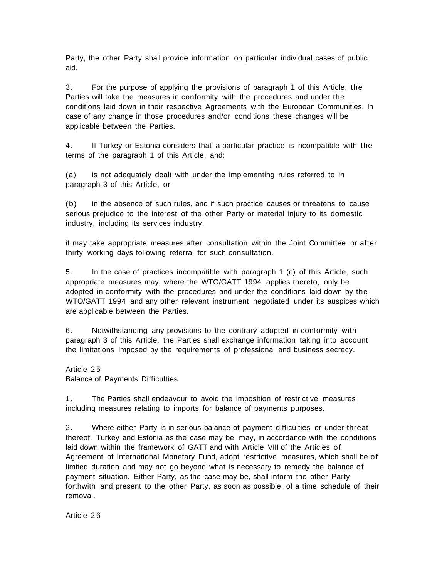Party, the other Party shall provide information on particular individual cases of public aid.

3. For the purpose of applying the provisions of paragraph 1 of this Article, the Parties will take the measures in conformity with the procedures and under the conditions laid down in their respective Agreements with the European Communities. In case of any change in those procedures and/or conditions these changes will be applicable between the Parties.

4. If Turkey or Estonia considers that a particular practice is incompatible with the terms of the paragraph 1 of this Article, and:

(a) is not adequately dealt with under the implementing rules referred to in paragraph 3 of this Article, or

(b) in the absence of such rules, and if such practice causes or threatens to cause serious prejudice to the interest of the other Party or material injury to its domestic industry, including its services industry,

it may take appropriate measures after consultation within the Joint Committee or after thirty working days following referral for such consultation.

5. In the case of practices incompatible with paragraph 1 (c) of this Article, such appropriate measures may, where the WTO/GATT 1994 applies thereto, only be adopted in conformity with the procedures and under the conditions laid down by the WTO/GATT 1994 and any other relevant instrument negotiated under its auspices which are applicable between the Parties.

6. Notwithstanding any provisions to the contrary adopted in conformity with paragraph 3 of this Article, the Parties shall exchange information taking into account the limitations imposed by the requirements of professional and business secrecy.

Article 2 5

Balance of Payments Difficulties

1. The Parties shall endeavour to avoid the imposition of restrictive measures including measures relating to imports for balance of payments purposes.

2. Where either Party is in serious balance of payment difficulties or under threat thereof, Turkey and Estonia as the case may be, may, in accordance with the conditions laid down within the framework of GATT and with Article VIII of the Articles of Agreement of International Monetary Fund, adopt restrictive measures, which shall be of limited duration and may not go beyond what is necessary to remedy the balance of payment situation. Either Party, as the case may be, shall inform the other Party forthwith and present to the other Party, as soon as possible, of a time schedule of their removal.

Article 26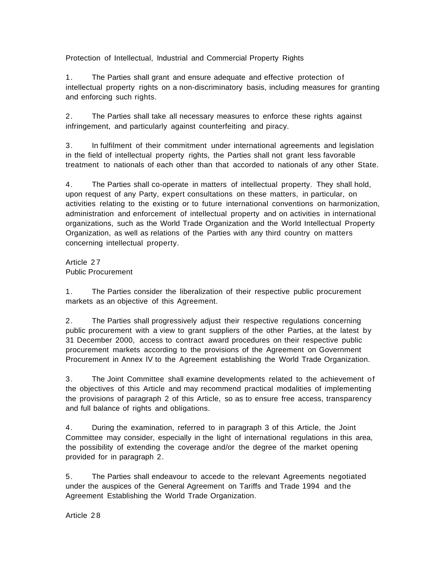Protection of Intellectual, Industrial and Commercial Property Rights

1. The Parties shall grant and ensure adequate and effective protection of intellectual property rights on a non-discriminatory basis, including measures for granting and enforcing such rights.

2. The Parties shall take all necessary measures to enforce these rights against infringement, and particularly against counterfeiting and piracy.

3. In fulfilment of their commitment under international agreements and legislation in the field of intellectual property rights, the Parties shall not grant less favorable treatment to nationals of each other than that accorded to nationals of any other State.

4. The Parties shall co-operate in matters of intellectual property. They shall hold, upon request of any Party, expert consultations on these matters, in particular, on activities relating to the existing or to future international conventions on harmonization, administration and enforcement of intellectual property and on activities in international organizations, such as the World Trade Organization and the World Intellectual Property Organization, as well as relations of the Parties with any third country on matters concerning intellectual property.

Article 2 7 Public Procurement

1. The Parties consider the liberalization of their respective public procurement markets as an objective of this Agreement.

2. The Parties shall progressively adjust their respective regulations concerning public procurement with a view to grant suppliers of the other Parties, at the latest by 31 December 2000, access to contract award procedures on their respective public procurement markets according to the provisions of the Agreement on Government Procurement in Annex IV to the Agreement establishing the World Trade Organization.

3. The Joint Committee shall examine developments related to the achievement of the objectives of this Article and may recommend practical modalities of implementing the provisions of paragraph 2 of this Article, so as to ensure free access, transparency and full balance of rights and obligations.

4. During the examination, referred to in paragraph 3 of this Article, the Joint Committee may consider, especially in the light of international regulations in this area, the possibility of extending the coverage and/or the degree of the market opening provided for in paragraph 2.

5. The Parties shall endeavour to accede to the relevant Agreements negotiated under the auspices of the General Agreement on Tariffs and Trade 1994 and the Agreement Establishing the World Trade Organization.

Article 2 8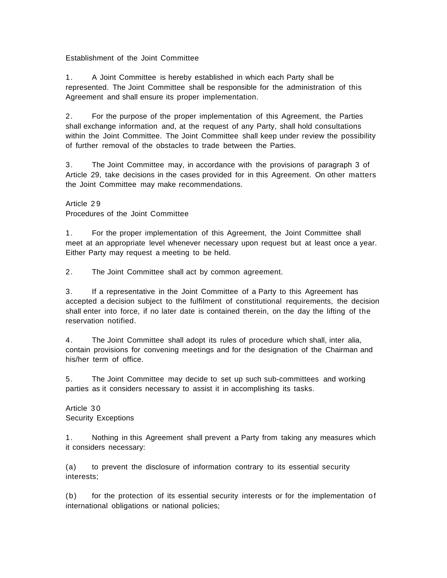Establishment of the Joint Committee

1. A Joint Committee is hereby established in which each Party shall be represented. The Joint Committee shall be responsible for the administration of this Agreement and shall ensure its proper implementation.

2. For the purpose of the proper implementation of this Agreement, the Parties shall exchange information and, at the request of any Party, shall hold consultations within the Joint Committee. The Joint Committee shall keep under review the possibility of further removal of the obstacles to trade between the Parties.

3. The Joint Committee may, in accordance with the provisions of paragraph 3 of Article 29, take decisions in the cases provided for in this Agreement. On other matters the Joint Committee may make recommendations.

Article 2 9 Procedures of the Joint Committee

1. For the proper implementation of this Agreement, the Joint Committee shall meet at an appropriate level whenever necessary upon request but at least once a year. Either Party may request a meeting to be held.

2. The Joint Committee shall act by common agreement.

3. If a representative in the Joint Committee of a Party to this Agreement has accepted a decision subject to the fulfilment of constitutional requirements, the decision shall enter into force, if no later date is contained therein, on the day the lifting of the reservation notified.

4. The Joint Committee shall adopt its rules of procedure which shall, inter alia, contain provisions for convening meetings and for the designation of the Chairman and his/her term of office.

5. The Joint Committee may decide to set up such sub-committees and working parties as it considers necessary to assist it in accomplishing its tasks.

Article 3 0 Security Exceptions

1. Nothing in this Agreement shall prevent a Party from taking any measures which it considers necessary:

(a) to prevent the disclosure of information contrary to its essential security interests;

(b) for the protection of its essential security interests or for the implementation of international obligations or national policies;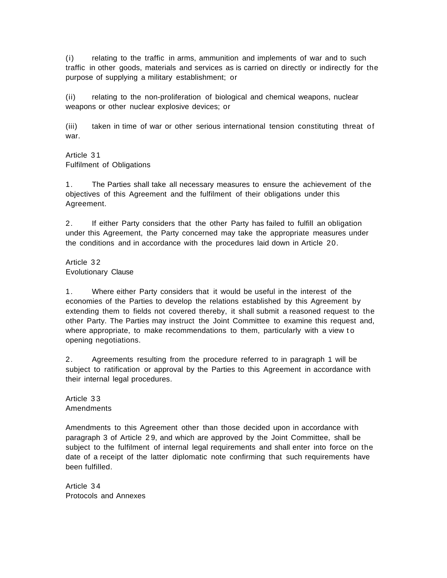(i) relating to the traffic in arms, ammunition and implements of war and to such traffic in other goods, materials and services as is carried on directly or indirectly for the purpose of supplying a military establishment; or

(ii) relating to the non-proliferation of biological and chemical weapons, nuclear weapons or other nuclear explosive devices; or

(iii) taken in time of war or other serious international tension constituting threat of war.

Article 3 1 Fulfilment of Obligations

1. The Parties shall take all necessary measures to ensure the achievement of the objectives of this Agreement and the fulfilment of their obligations under this Agreement.

2. If either Party considers that the other Party has failed to fulfill an obligation under this Agreement, the Party concerned may take the appropriate measures under the conditions and in accordance with the procedures laid down in Article 20.

Article 3 2 Evolutionary Clause

1. Where either Party considers that it would be useful in the interest of the economies of the Parties to develop the relations established by this Agreement by extending them to fields not covered thereby, it shall submit a reasoned request to the other Party. The Parties may instruct the Joint Committee to examine this request and, where appropriate, to make recommendations to them, particularly with a view to opening negotiations.

2. Agreements resulting from the procedure referred to in paragraph 1 will be subject to ratification or approval by the Parties to this Agreement in accordance with their internal legal procedures.

Article 3 3 Amendments

Amendments to this Agreement other than those decided upon in accordance with paragraph 3 of Article 2 9, and which are approved by the Joint Committee, shall be subject to the fulfilment of internal legal requirements and shall enter into force on the date of a receipt of the latter diplomatic note confirming that such requirements have been fulfilled.

Article 3 4 Protocols and Annexes